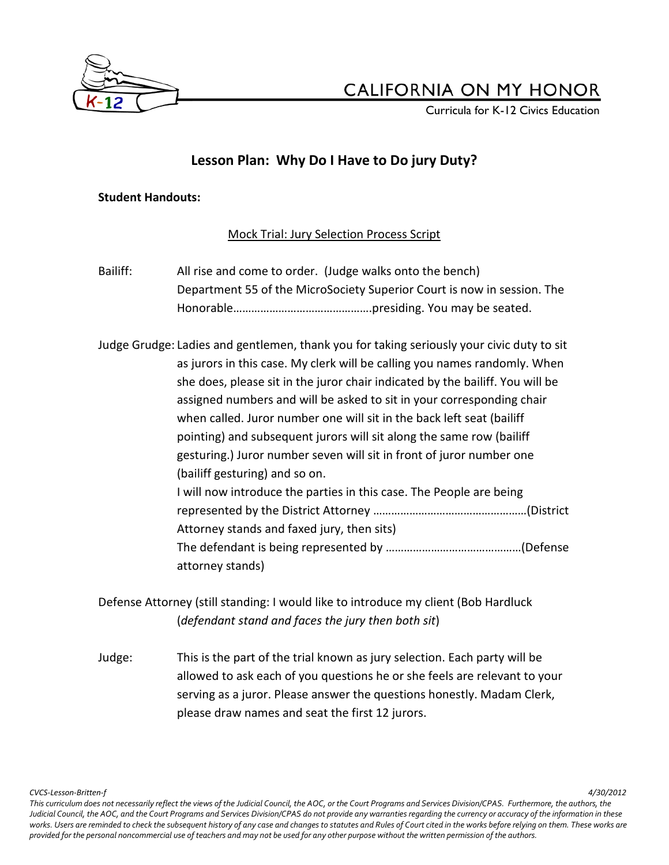

Curricula for K-12 Civics Education

### **Lesson Plan: Why Do I Have to Do jury Duty?**

### **Student Handouts:**

Mock Trial: Jury Selection Process Script

Bailiff: All rise and come to order. (Judge walks onto the bench) Department 55 of the MicroSociety Superior Court is now in session. The Honorable……………………………………….presiding. You may be seated.

Judge Grudge: Ladies and gentlemen, thank you for taking seriously your civic duty to sit as jurors in this case. My clerk will be calling you names randomly. When she does, please sit in the juror chair indicated by the bailiff. You will be assigned numbers and will be asked to sit in your corresponding chair when called. Juror number one will sit in the back left seat (bailiff pointing) and subsequent jurors will sit along the same row (bailiff gesturing.) Juror number seven will sit in front of juror number one (bailiff gesturing) and so on. I will now introduce the parties in this case. The People are being represented by the District Attorney ……………………………………………(District Attorney stands and faxed jury, then sits) The defendant is being represented by ………………………………………(Defense attorney stands)

Defense Attorney (still standing: I would like to introduce my client (Bob Hardluck (*defendant stand and faces the jury then both sit*)

Judge: This is the part of the trial known as jury selection. Each party will be allowed to ask each of you questions he or she feels are relevant to your serving as a juror. Please answer the questions honestly. Madam Clerk, please draw names and seat the first 12 jurors.

*CVCS-Lesson-Britten-f 4/30/2012*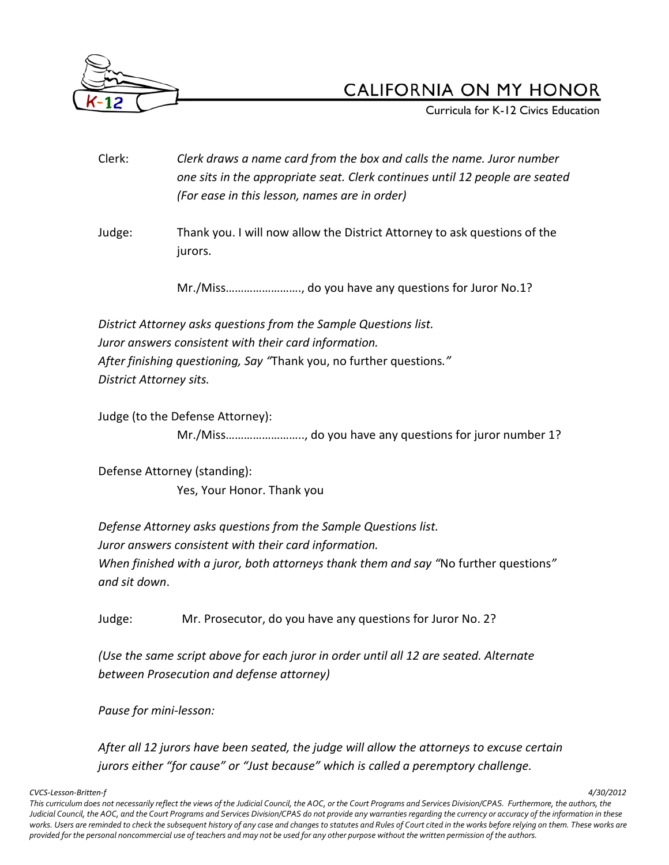

Curricula for K-12 Civics Education

- Clerk: *Clerk draws a name card from the box and calls the name. Juror number one sits in the appropriate seat. Clerk continues until 12 people are seated (For ease in this lesson, names are in order)*
- Judge: Thank you. I will now allow the District Attorney to ask questions of the jurors.

Mr./Miss……………………., do you have any questions for Juror No.1?

*District Attorney asks questions from the Sample Questions list. Juror answers consistent with their card information. After finishing questioning, Say "*Thank you, no further questions*." District Attorney sits.*

Judge (to the Defense Attorney):

Mr./Miss…………………….., do you have any questions for juror number 1?

Defense Attorney (standing): Yes, Your Honor. Thank you

*Defense Attorney asks questions from the Sample Questions list. Juror answers consistent with their card information. When finished with a juror, both attorneys thank them and say "*No further questions*" and sit down*.

Judge: Mr. Prosecutor, do you have any questions for Juror No. 2?

*(Use the same script above for each juror in order until all 12 are seated. Alternate between Prosecution and defense attorney)*

*Pause for mini-lesson:*

*After all 12 jurors have been seated, the judge will allow the attorneys to excuse certain jurors either "for cause" or "Just because" which is called a peremptory challenge.*

*CVCS-Lesson-Britten-f 4/30/2012*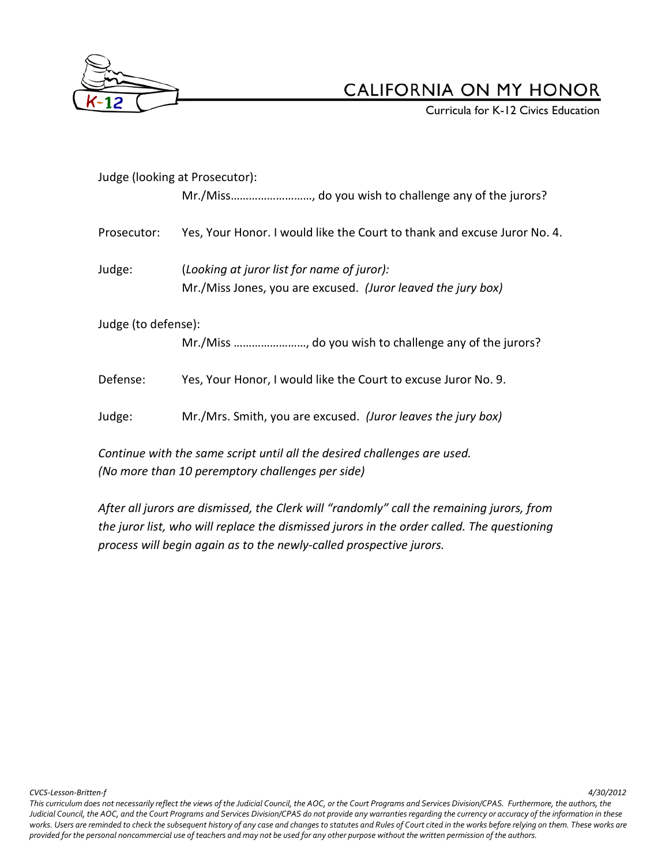

**Curricula for K-12 Civics Education** 

| Judge (looking at Prosecutor):                                           |                                                                          |  |  |  |
|--------------------------------------------------------------------------|--------------------------------------------------------------------------|--|--|--|
|                                                                          |                                                                          |  |  |  |
| Prosecutor:                                                              | Yes, Your Honor. I would like the Court to thank and excuse Juror No. 4. |  |  |  |
| Judge:                                                                   | (Looking at juror list for name of juror):                               |  |  |  |
|                                                                          | Mr./Miss Jones, you are excused. (Juror leaved the jury box)             |  |  |  |
| Judge (to defense):                                                      |                                                                          |  |  |  |
|                                                                          |                                                                          |  |  |  |
| Defense:                                                                 | Yes, Your Honor, I would like the Court to excuse Juror No. 9.           |  |  |  |
| Judge:                                                                   | Mr./Mrs. Smith, you are excused. (Juror leaves the jury box)             |  |  |  |
| Continue with the same script until all the desired challenges are used. |                                                                          |  |  |  |

*(No more than 10 peremptory challenges per side)*

*After all jurors are dismissed, the Clerk will "randomly" call the remaining jurors, from the juror list, who will replace the dismissed jurors in the order called. The questioning process will begin again as to the newly-called prospective jurors.*

*CVCS-Lesson-Britten-f 4/30/2012*

*This curriculum does not necessarily reflect the views of the Judicial Council, the AOC, or the Court Programs and Services Division/CPAS. Furthermore, the authors, the*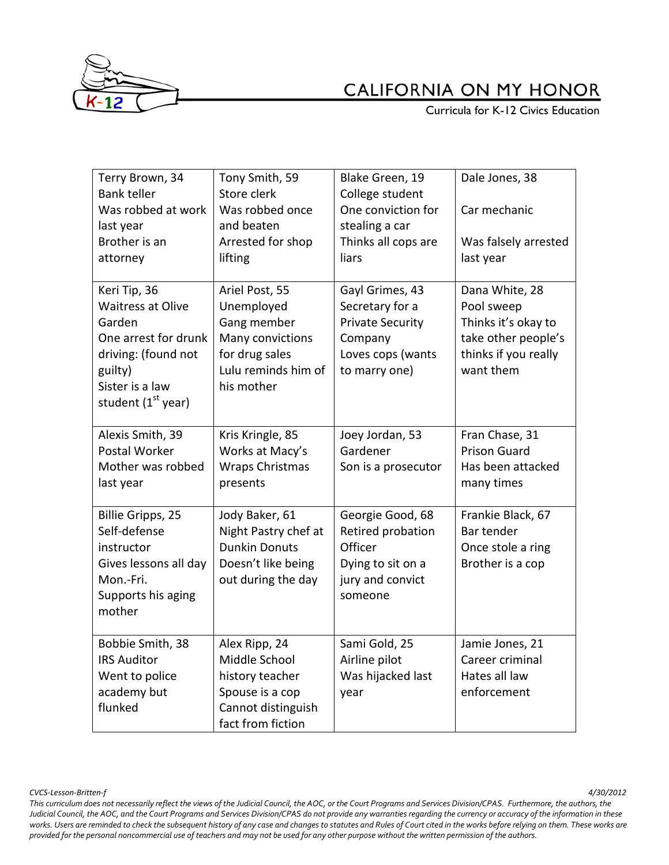

**Curricula for K-12 Civics Education** 

| Terry Brown, 34<br><b>Bank teller</b> | Tony Smith, 59<br>Store clerk     | Blake Green, 19<br>College student | Dale Jones, 38       |
|---------------------------------------|-----------------------------------|------------------------------------|----------------------|
| Was robbed at work                    | Was robbed once                   | One conviction for                 | Car mechanic         |
| last year                             | and beaten                        | stealing a car                     |                      |
| Brother is an                         | Arrested for shop                 | Thinks all cops are                | Was falsely arrested |
| attorney                              | lifting                           | liars                              | last year            |
| Keri Tip, 36                          | Ariel Post, 55                    | Gayl Grimes, 43                    | Dana White, 28       |
| <b>Waitress at Olive</b>              | Unemployed                        | Secretary for a                    | Pool sweep           |
| Garden                                | Gang member                       | <b>Private Security</b>            | Thinks it's okay to  |
| One arrest for drunk                  | Many convictions                  | Company                            | take other people's  |
| driving: (found not                   | for drug sales                    | Loves cops (wants                  | thinks if you really |
| guilty)<br>Sister is a law            | Lulu reminds him of<br>his mother | to marry one)                      | want them            |
| student (1 <sup>st</sup> year)        |                                   |                                    |                      |
|                                       |                                   |                                    |                      |
| Alexis Smith, 39                      | Kris Kringle, 85                  | Joey Jordan, 53                    | Fran Chase, 31       |
| Postal Worker                         | Works at Macy's                   | Gardener                           | <b>Prison Guard</b>  |
| Mother was robbed                     | <b>Wraps Christmas</b>            | Son is a prosecutor                | Has been attacked    |
| last year                             | presents                          |                                    | many times           |
| <b>Billie Gripps, 25</b>              | Jody Baker, 61                    | Georgie Good, 68                   | Frankie Black, 67    |
| Self-defense                          | Night Pastry chef at              | Retired probation                  | Bar tender           |
| instructor                            | <b>Dunkin Donuts</b>              | Officer                            | Once stole a ring    |
| Gives lessons all day                 | Doesn't like being                | Dying to sit on a                  | Brother is a cop     |
| Mon.-Fri.                             | out during the day                | jury and convict                   |                      |
| Supports his aging                    |                                   | someone                            |                      |
| mother                                |                                   |                                    |                      |
| Bobbie Smith, 38                      | Alex Ripp, 24                     | Sami Gold, 25                      | Jamie Jones, 21      |
| <b>IRS Auditor</b>                    | Middle School                     | Airline pilot                      | Career criminal      |
| Went to police                        | history teacher                   | Was hijacked last                  | Hates all law        |
| academy but                           | Spouse is a cop                   | year                               | enforcement          |
| flunked                               | Cannot distinguish                |                                    |                      |
|                                       | fact from fiction                 |                                    |                      |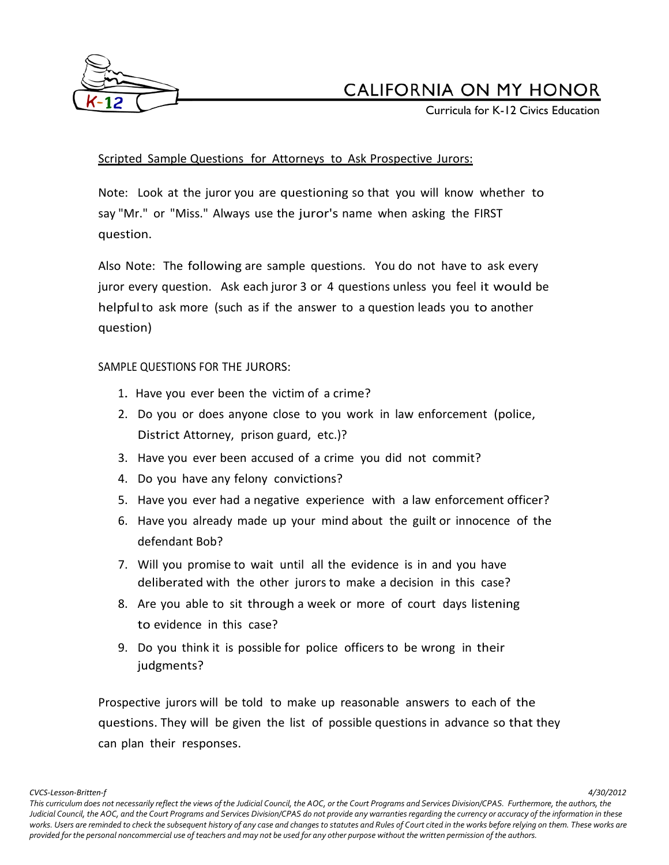

Curricula for K-12 Civics Education

### Scripted Sample Questions for Attorneys to Ask Prospective Jurors:

Note: Look at the juror you are questioning so that you will know whether to say "Mr." or "Miss." Always use the juror's name when asking the FIRST question.

Also Note: The following are sample questions. You do not have to ask every juror every question. Ask each juror 3 or 4 questions unless you feel it would be helpfulto ask more (such as if the answer to a question leads you to another question)

#### SAMPLE QUESTIONS FOR THE JURORS:

- 1. Have you ever been the victim of a crime?
- 2. Do you or does anyone close to you work in law enforcement (police, District Attorney, prison guard, etc.)?
- 3. Have you ever been accused of a crime you did not commit?
- 4. Do you have any felony convictions?
- 5. Have you ever had a negative experience with a law enforcement officer?
- 6. Have you already made up your mind about the guilt or innocence of the defendant Bob?
- 7. Will you promise to wait until all the evidence is in and you have deliberated with the other jurors to make a decision in this case?
- 8. Are you able to sit through a week or more of court days listening to evidence in this case?
- 9. Do you think it is possible for police officers to be wrong in their judgments?

Prospective jurors will be told to make up reasonable answers to each of the questions. They will be given the list of possible questions in advance so that they can plan their responses.

*CVCS-Lesson-Britten-f 4/30/2012*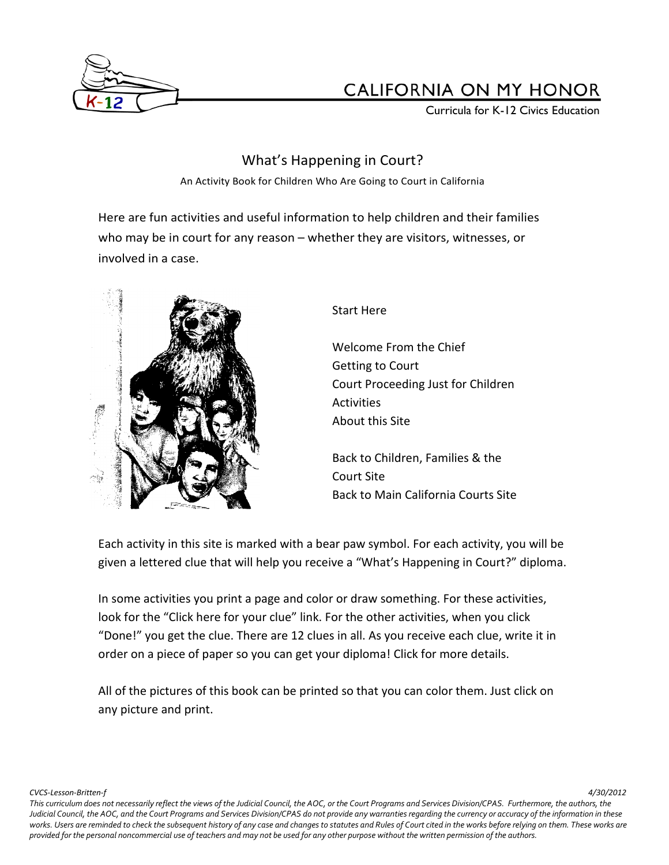

Curricula for K-12 Civics Education

### What's Happening in Court?

An Activity Book for Children Who Are Going to Court in California

Here are fun activities and useful information to help children and their families who may be in court for any reason – whether they are visitors, witnesses, or involved in a case.



### Start Here

Welcome From the Chief Getting to Court Court Proceeding Just for Children **Activities** About this Site

Back to Children, Families & the Court Site Back to Main California Courts Site

Each activity in this site is marked with a bear paw symbol. For each activity, you will be given a lettered clue that will help you receive a "What's Happening in Court?" diploma.

In some activities you print a page and color or draw something. For these activities, look for the "Click here for your clue" link. For the other activities, when you click "Done!" you get the clue. There are 12 clues in all. As you receive each clue, write it in order on a piece of paper so you can get your diploma! Click for more details.

All of the pictures of this book can be printed so that you can color them. Just click on any picture and print.

*CVCS-Lesson-Britten-f 4/30/2012*

*This curriculum does not necessarily reflect the views of the Judicial Council, the AOC, or the Court Programs and Services Division/CPAS. Furthermore, the authors, the Judicial Council, the AOC, and the Court Programs and Services Division/CPAS do not provide any warranties regarding the currency or accuracy of the information in these*  works. Users are reminded to check the subsequent history of any case and changes to statutes and Rules of Court cited in the works before relying on them. These works are *provided for the personal noncommercial use of teachers and may not be used for any other purpose without the written permission of the authors.*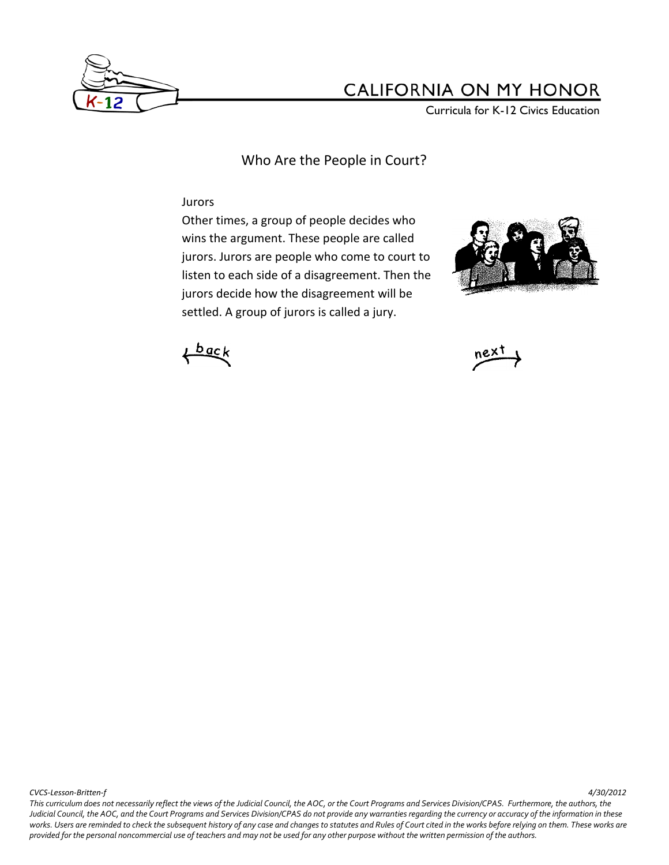

Curricula for K-12 Civics Education

Who Are the People in Court?

#### Jurors

Other times, a group of people decides who wins the argument. These people are called jurors. Jurors are people who come to court to listen to each side of a disagreement. Then the jurors decide how the disagreement will be settled. A group of jurors is called a jury.







*CVCS-Lesson-Britten-f 4/30/2012*

*This curriculum does not necessarily reflect the views of the Judicial Council, the AOC, or the Court Programs and Services Division/CPAS. Furthermore, the authors, the*  Judicial Council, the AOC, and the Court Programs and Services Division/CPAS do not provide any warranties regarding the currency or accuracy of the information in these works. Users are reminded to check the subsequent history of any case and changes to statutes and Rules of Court cited in the works before relying on them. These works are *provided for the personal noncommercial use of teachers and may not be used for any other purpose without the written permission of the authors.*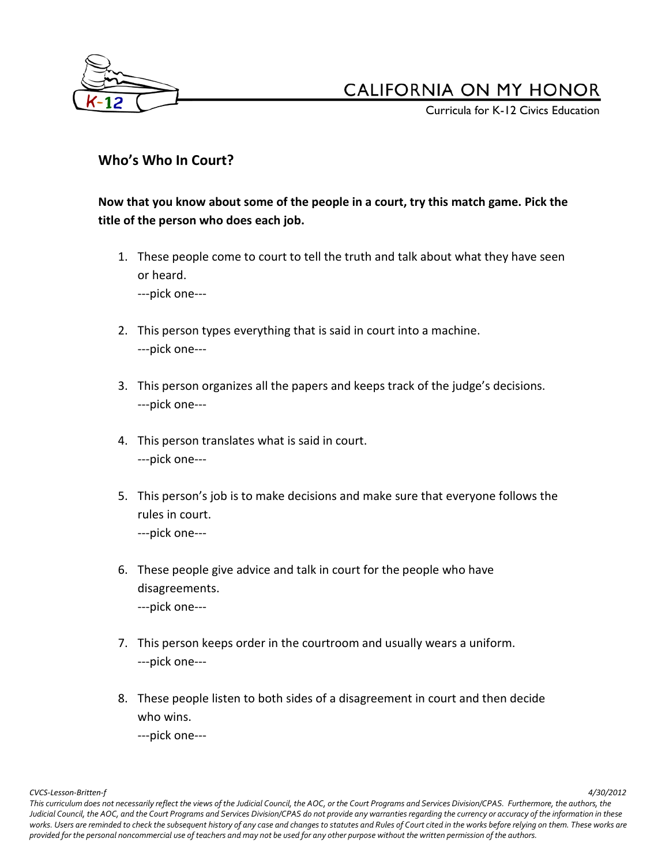

Curricula for K-12 Civics Education

### **Who's Who In Court?**

**Now that you know about some of the people in a court, try this match game. Pick the title of the person who does each job.**

1. These people come to court to tell the truth and talk about what they have seen or heard.

---pick one---

- 2. This person types everything that is said in court into a machine. ---pick one---
- 3. This person organizes all the papers and keeps track of the judge's decisions. ---pick one---
- 4. This person translates what is said in court. ---pick one---
- 5. This person's job is to make decisions and make sure that everyone follows the rules in court. ---pick one---
- 6. These people give advice and talk in court for the people who have disagreements. ---pick one---
- 7. This person keeps order in the courtroom and usually wears a uniform. ---pick one---
- 8. These people listen to both sides of a disagreement in court and then decide who wins.

---pick one---

*CVCS-Lesson-Britten-f 4/30/2012*

*This curriculum does not necessarily reflect the views of the Judicial Council, the AOC, or the Court Programs and Services Division/CPAS. Furthermore, the authors, the*  Judicial Council, the AOC, and the Court Programs and Services Division/CPAS do not provide any warranties regarding the currency or accuracy of the information in these works. Users are reminded to check the subsequent history of any case and changes to statutes and Rules of Court cited in the works before relying on them. These works are *provided for the personal noncommercial use of teachers and may not be used for any other purpose without the written permission of the authors.*